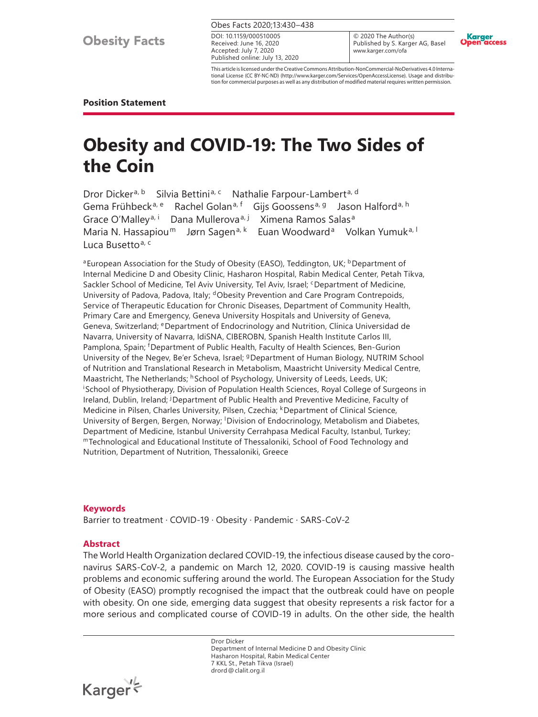Obes Facts 2020;13:430–438

Received: June 16, 2020 Accepted: July 7, 2020 Published online: July 13, 2020 DOI: 10.1159/000510005

© 2020 The Author(s) Published by S. Karger AG, Basel www.karger.com/ofa



This article is licensed under the Creative Commons Attribution-NonCommercial-NoDerivatives 4.0 International License (CC BY-NC-ND) (http://www.karger.com/Services/OpenAccessLicense). Usage and distribution for commercial purposes as well as any distribution of modified material requires written permission.

#### **Position Statement**

# **Obesity and COVID-19: The Two Sides of the Coin**

Dror Dicker<sup>a, b</sup> Silvia Bettini<sup>a, c</sup> Nathalie Farpour-Lambert<sup>a, d</sup> Gema Frühbeck<sup>a, e</sup> Rachel Golan<sup>a, f</sup> Gijs Goossens<sup>a, g</sup> Jason Halford<sup>a, h</sup> Grace O'Malley<sup>a, i</sup> Dana Mullerova<sup>a, j</sup> Ximena Ramos Salas<sup>a</sup> Maria N. Hassapiou $<sup>m</sup>$ </sup>  $\vdash$  Euan Woodward<sup>a</sup> Volkan Yumuk<sup>a, I</sup> Luca Busetto<sup>a, c</sup>

<sup>a</sup> European Association for the Study of Obesity (EASO), Teddington, UK; <sup>b</sup> Department of Internal Medicine D and Obesity Clinic, Hasharon Hospital, Rabin Medical Center, Petah Tikva, Sackler School of Medicine, Tel Aviv University, Tel Aviv, Israel; <sup>c</sup>Department of Medicine, University of Padova, Padova, Italy; dObesity Prevention and Care Program Contrepoids, Service of Therapeutic Education for Chronic Diseases, Department of Community Health, Primary Care and Emergency, Geneva University Hospitals and University of Geneva, Geneva, Switzerland; <sup>e</sup>Department of Endocrinology and Nutrition, Clínica Universidad de Navarra, University of Navarra, IdiSNA, CIBEROBN, Spanish Health Institute Carlos III, Pamplona, Spain; <sup>f</sup> Department of Public Health, Faculty of Health Sciences, Ben-Gurion University of the Negev, Be'er Scheva, Israel; <sup>g</sup>Department of Human Biology, NUTRIM School of Nutrition and Translational Research in Metabolism, Maastricht University Medical Centre, Maastricht, The Netherlands; <sup>h</sup>School of Psychology, University of Leeds, Leeds, UK; i School of Physiotherapy, Division of Population Health Sciences, Royal College of Surgeons in Ireland, Dublin, Ireland; <sup>j</sup> Department of Public Health and Preventive Medicine, Faculty of Medicine in Pilsen, Charles University, Pilsen, Czechia; <sup>k</sup>Department of Clinical Science, University of Bergen, Bergen, Norway; <sup>I</sup> Division of Endocrinology, Metabolism and Diabetes, Department of Medicine, Istanbul University Cerrahpasa Medical Faculty, Istanbul, Turkey;<br>"Technological and Educational Institute of Thessaloniki, School of Food Technology and Nutrition, Department of Nutrition, Thessaloniki, Greece

#### **Keywords**

Barrier to treatment · COVID-19 · Obesity · Pandemic · SARS-CoV-2

#### **Abstract**

The World Health Organization declared COVID-19, the infectious disease caused by the coronavirus SARS-CoV-2, a pandemic on March 12, 2020. COVID-19 is causing massive health problems and economic suffering around the world. The European Association for the Study of Obesity (EASO) promptly recognised the impact that the outbreak could have on people with obesity. On one side, emerging data suggest that obesity represents a risk factor for a more serious and complicated course of COVID-19 in adults. On the other side, the health

> Dror Dicker Department of Internal Medicine D and Obesity Clinic Hasharon Hospital, Rabin Medical Center 7 KKL St., Petah Tikva (Israel) drord@clalit.org.il

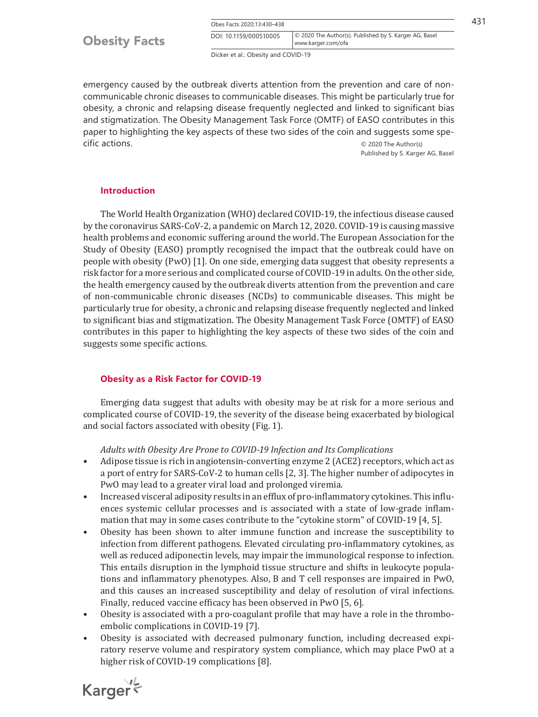| Obes Facts 2020;13:430-438 |  |
|----------------------------|--|
|----------------------------|--|

Obes Facts 2020;13:430–438 431 www.karger.com/ofa DOI: 10.1159/000510005 © 2020 The Author(s). Published by S. Karger AG, Basel

Dicker et al.: Obesity and COVID-19

emergency caused by the outbreak diverts attention from the prevention and care of noncommunicable chronic diseases to communicable diseases. This might be particularly true for obesity, a chronic and relapsing disease frequently neglected and linked to significant bias and stigmatization. The Obesity Management Task Force (OMTF) of EASO contributes in this paper to highlighting the key aspects of these two sides of the coin and suggests some specific actions. © 2020 The Author(s)

Published by S. Karger AG, Basel

#### **Introduction**

<span id="page-1-0"></span>The World Health Organization (WHO) declared COVID-19, the infectious disease caused by the coronavirus SARS-CoV-2, a pandemic on March 12, 2020. COVID-19 is causing massive health problems and economic suffering around the world. The European Association for the Study of Obesity (EASO) promptly recognised the impact that the outbreak could have on people with obesity (PwO) [[1\]](#page-7-0). On one side, emerging data suggest that obesity represents a risk factor for a more serious and complicated course of COVID-19 in adults. On the other side, the health emergency caused by the outbreak diverts attention from the prevention and care of non-communicable chronic diseases (NCDs) to communicable diseases. This might be particularly true for obesity, a chronic and relapsing disease frequently neglected and linked to significant bias and stigmatization. The Obesity Management Task Force (OMTF) of EASO contributes in this paper to highlighting the key aspects of these two sides of the coin and suggests some specific actions.

#### **Obesity as a Risk Factor for COVID-19**

Emerging data suggest that adults with obesity may be at risk for a more serious and complicated course of COVID-19, the severity of the disease being exacerbated by biological and social factors associated with obesity (Fig. 1).

<span id="page-1-1"></span>*Adults with Obesity Are Prone to COVID-19 Infection and Its Complications*

- Adipose tissue is rich in angiotensin-converting enzyme 2 (ACE2) receptors, which act as a port of entry for SARS-CoV-2 to human cells [\[2,](#page-7-1) [3](#page-7-2)]. The higher number of adipocytes in PwO may lead to a greater viral load and prolonged viremia.
- Increased visceral adiposity results in an efflux of pro-inflammatory cytokines. This influences systemic cellular processes and is associated with a state of low-grade inflammation that may in some cases contribute to the "cytokine storm" of COVID-19 [[4](#page-7-3), [5\]](#page-8-0).
- <span id="page-1-2"></span>• Obesity has been shown to alter immune function and increase the susceptibility to infection from different pathogens. Elevated circulating pro-inflammatory cytokines, as well as reduced adiponectin levels, may impair the immunological response to infection. This entails disruption in the lymphoid tissue structure and shifts in leukocyte populations and inflammatory phenotypes. Also, B and T cell responses are impaired in PwO, and this causes an increased susceptibility and delay of resolution of viral infections. Finally, reduced vaccine efficacy has been observed in PwO [\[5](#page-8-0), [6](#page-8-1)].
- <span id="page-1-4"></span><span id="page-1-3"></span>• Obesity is associated with a pro-coagulant profile that may have a role in the thromboembolic complications in COVID-19 [[7\]](#page-8-2).
- <span id="page-1-5"></span>• Obesity is associated with decreased pulmonary function, including decreased expiratory reserve volume and respiratory system compliance, which may place PwO at a higher risk of COVID-19 complications [[8\]](#page-8-3).

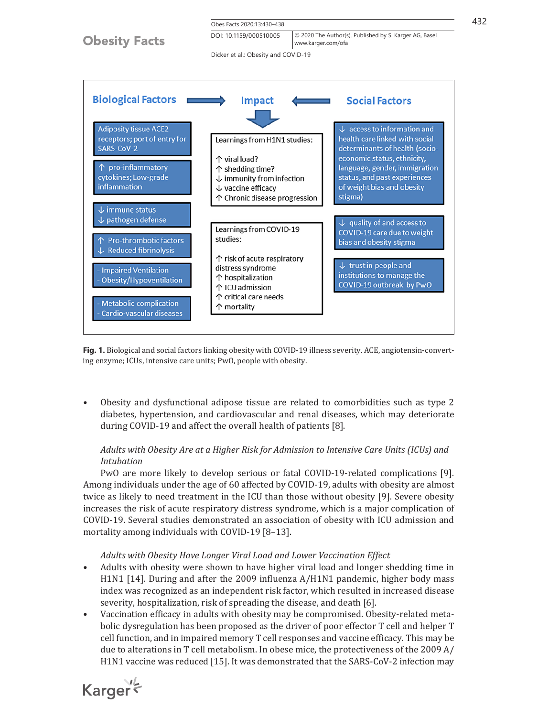

**Fig. 1.** Biological and social factors linking obesity with COVID-19 illness severity. ACE, angiotensin-converting enzyme; ICUs, intensive care units; PwO, people with obesity.

• Obesity and dysfunctional adipose tissue are related to comorbidities such as type 2 diabetes, hypertension, and cardiovascular and renal diseases, which may deteriorate during COVID-19 and affect the overall health of patients [[8\]](#page-8-3).

## <span id="page-2-0"></span>*Adults with Obesity Are at a Higher Risk for Admission to Intensive Care Units (ICUs) and Intubation*

PwO are more likely to develop serious or fatal COVID-19-related complications [[9](#page-8-4)]. Among individuals under the age of 60 affected by COVID-19, adults with obesity are almost twice as likely to need treatment in the ICU than those without obesity [\[9](#page-8-4)]. Severe obesity increases the risk of acute respiratory distress syndrome, which is a major complication of COVID-19. Several studies demonstrated an association of obesity with ICU admission and mortality among individuals with COVID-19 [[8](#page-8-3)–[1](#page-7-0)[3](#page-7-2)].

#### <span id="page-2-2"></span><span id="page-2-1"></span>*Adults with Obesity Have Longer Viral Load and Lower Vaccination Effect*

- Adults with obesity were shown to have higher viral load and longer shedding time in H1N1 [\[1](#page-7-0)[4\]](#page-7-3). During and after the 2009 influenza A/H1N1 pandemic, higher body mass index was recognized as an independent risk factor, which resulted in increased disease severity, hospitalization, risk of spreading the disease, and death [[6\]](#page-8-1).
- Vaccination efficacy in adults with obesity may be compromised. Obesity-related metabolic dysregulation has been proposed as the driver of poor effector T cell and helper T cell function, and in impaired memory T cell responses and vaccine efficacy. This may be due to alterations in T cell metabolism. In obese mice, the protectiveness of the 2009 A/ H1N1 vaccine was reduced [[1](#page-7-0)[5](#page-8-0)]. It was demonstrated that the SARS-CoV-2 infection may

<span id="page-2-3"></span>Karger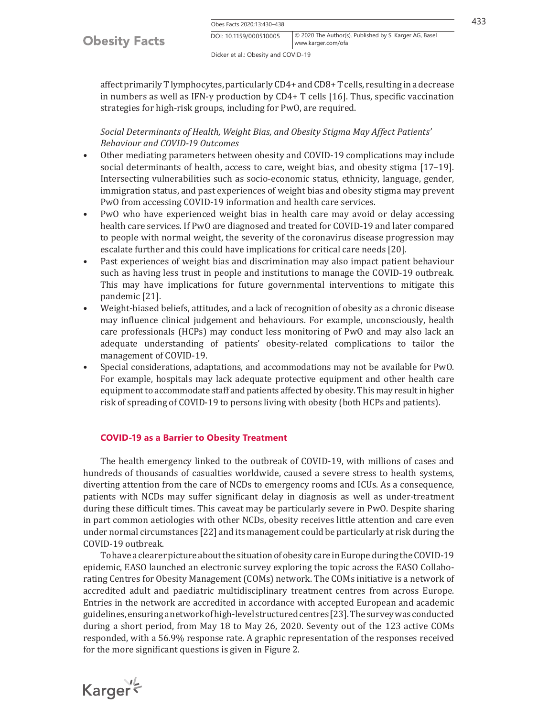|  | Obes Facts 2020:13:430-438 |  |
|--|----------------------------|--|
|  |                            |  |

Obes Facts 2020;13:430–438 433 www.karger.com/ofa DOI: 10.1159/000510005 © 2020 The Author(s). Published by S. Karger AG, Basel

Dicker et al.: Obesity and COVID-19

<span id="page-3-0"></span>affect primarily T lymphocytes, particularly CD4+ and CD8+ T cells, resulting in a decrease in numbers as well as IFN-γ production by CD4+ T cells [[1](#page-7-0)[6\]](#page-8-1). Thus, specific vaccination strategies for high-risk groups, including for PwO, are required.

## *Social Determinants of Health, Weight Bias, and Obesity Stigma May Affect Patients' Behaviour and COVID-19 Outcomes*

- <span id="page-3-1"></span>• Other mediating parameters between obesity and COVID-19 complications may include social determinants of health, access to care, weight bias, and obesity stigma [[1](#page-7-0)[7](#page-8-2)–[1](#page-7-0)[9](#page-8-4)]. Intersecting vulnerabilities such as socio-economic status, ethnicity, language, gender, immigration status, and past experiences of weight bias and obesity stigma may prevent PwO from accessing COVID-19 information and health care services.
- PwO who have experienced weight bias in health care may avoid or delay accessing health care services. If PwO are diagnosed and treated for COVID-19 and later compared to people with normal weight, the severity of the coronavirus disease progression may escalate further and this could have implications for critical care needs [\[2](#page-7-1)0].
- Past experiences of weight bias and discrimination may also impact patient behaviour such as having less trust in people and institutions to manage the COVID-19 outbreak. This may have implications for future governmental interventions to mitigate this pandemic [\[2](#page-7-1)[1\]](#page-7-0).
- Weight-biased beliefs, attitudes, and a lack of recognition of obesity as a chronic disease may influence clinical judgement and behaviours. For example, unconsciously, health care professionals (HCPs) may conduct less monitoring of PwO and may also lack an adequate understanding of patients' obesity-related complications to tailor the management of COVID-19.
- Special considerations, adaptations, and accommodations may not be available for PwO. For example, hospitals may lack adequate protective equipment and other health care equipment to accommodate staff and patients affected by obesity. This may result in higher risk of spreading of COVID-19 to persons living with obesity (both HCPs and patients).

#### **COVID-19 as a Barrier to Obesity Treatment**

The health emergency linked to the outbreak of COVID-19, with millions of cases and hundreds of thousands of casualties worldwide, caused a severe stress to health systems, diverting attention from the care of NCDs to emergency rooms and ICUs. As a consequence, patients with NCDs may suffer significant delay in diagnosis as well as under-treatment during these difficult times. This caveat may be particularly severe in PwO. Despite sharing in part common aetiologies with other NCDs, obesity receives little attention and care even under normal circumstances [\[22\]](#page-7-1) and its management could be particularly at risk during the COVID-19 outbreak.

To have a clearer picture about the situation of obesity care in Europe during the COVID-19 epidemic, EASO launched an electronic survey exploring the topic across the EASO Collaborating Centres for Obesity Management (COMs) network. The COMs initiative is a network of accredited adult and paediatric multidisciplinary treatment centres from across Europe. Entries in the network are accredited in accordance with accepted European and academic guidelines, ensuring a network of high-level structured centres [\[2](#page-7-1)[3\]](#page-7-2). The survey was conducted during a short period, from May 18 to May 26, 2020. Seventy out of the 123 active COMs responded, with a 56.9% response rate. A graphic representation of the responses received for the more significant questions is given in Figure 2.

Karger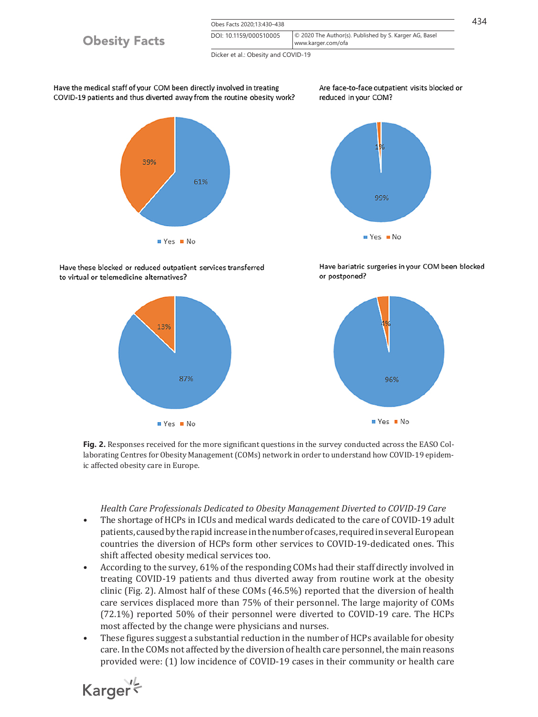

**Fig. 2.** Responses received for the more significant questions in the survey conducted across the EASO Collaborating Centres for Obesity Management (COMs) network in order to understand how COVID-19 epidemic affected obesity care in Europe.

96%

■ Yes ■ No

87%

 $Yes$  No

#### *Health Care Professionals Dedicated to Obesity Management Diverted to COVID-19 Care*

- The shortage of HCPs in ICUs and medical wards dedicated to the care of COVID-19 adult patients, caused by the rapid increase in the number of cases, required in several European countries the diversion of HCPs form other services to COVID-19-dedicated ones. This shift affected obesity medical services too.
- According to the survey, 61% of the responding COMs had their staff directly involved in treating COVID-19 patients and thus diverted away from routine work at the obesity clinic (Fig. 2). Almost half of these COMs (46.5%) reported that the diversion of health care services displaced more than 75% of their personnel. The large majority of COMs (72.1%) reported 50% of their personnel were diverted to COVID-19 care. The HCPs most affected by the change were physicians and nurses.
- These figures suggest a substantial reduction in the number of HCPs available for obesity care. In the COMs not affected by the diversion of health care personnel, the main reasons provided were: (1) low incidence of COVID-19 cases in their community or health care

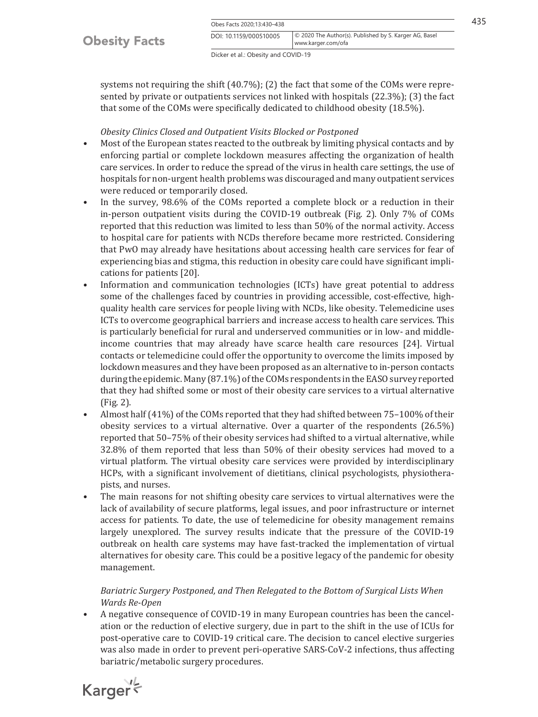|                      | Obes Facts 2020:13:430-438 |                                                                              |  |
|----------------------|----------------------------|------------------------------------------------------------------------------|--|
| <b>Obesity Facts</b> | DOI: 10.1159/000510005     | © 2020 The Author(s). Published by S. Karger AG, Basel<br>www.karger.com/ofa |  |

Dicker et al.: Obesity and COVID-19

systems not requiring the shift (40.7%); (2) the fact that some of the COMs were represented by private or outpatients services not linked with hospitals (22.3%); (3) the fact that some of the COMs were specifically dedicated to childhood obesity (18.5%).

#### *Obesity Clinics Closed and Outpatient Visits Blocked or Postponed*

- Most of the European states reacted to the outbreak by limiting physical contacts and by enforcing partial or complete lockdown measures affecting the organization of health care services. In order to reduce the spread of the virus in health care settings, the use of hospitals for non-urgent health problems was discouraged and many outpatient services were reduced or temporarily closed.
- In the survey, 98.6% of the COMs reported a complete block or a reduction in their in-person outpatient visits during the COVID-19 outbreak (Fig. 2). Only 7% of COMs reported that this reduction was limited to less than 50% of the normal activity. Access to hospital care for patients with NCDs therefore became more restricted. Considering that PwO may already have hesitations about accessing health care services for fear of experiencing bias and stigma, this reduction in obesity care could have significant implications for patients [[2](#page-7-1)0].
- Information and communication technologies (ICTs) have great potential to address some of the challenges faced by countries in providing accessible, cost-effective, highquality health care services for people living with NCDs, like obesity. Telemedicine uses ICTs to overcome geographical barriers and increase access to health care services. This is particularly beneficial for rural and underserved communities or in low- and middleincome countries that may already have scarce health care resources [[2](#page-7-1)[4\]](#page-7-3). Virtual contacts or telemedicine could offer the opportunity to overcome the limits imposed by lockdown measures and they have been proposed as an alternative to in-person contacts during the epidemic. Many (87.1%) of the COMs respondents in the EASO survey reported that they had shifted some or most of their obesity care services to a virtual alternative (Fig. 2).
- Almost half (41%) of the COMs reported that they had shifted between 75–100% of their obesity services to a virtual alternative. Over a quarter of the respondents (26.5%) reported that 50–75% of their obesity services had shifted to a virtual alternative, while 32.8% of them reported that less than 50% of their obesity services had moved to a virtual platform. The virtual obesity care services were provided by interdisciplinary HCPs, with a significant involvement of dietitians, clinical psychologists, physiotherapists, and nurses.
- The main reasons for not shifting obesity care services to virtual alternatives were the lack of availability of secure platforms, legal issues, and poor infrastructure or internet access for patients. To date, the use of telemedicine for obesity management remains largely unexplored. The survey results indicate that the pressure of the COVID-19 outbreak on health care systems may have fast-tracked the implementation of virtual alternatives for obesity care. This could be a positive legacy of the pandemic for obesity management.

## *Bariatric Surgery Postponed, and Then Relegated to the Bottom of Surgical Lists When Wards Re-Open*

• A negative consequence of COVID-19 in many European countries has been the cancelation or the reduction of elective surgery, due in part to the shift in the use of ICUs for post-operative care to COVID-19 critical care. The decision to cancel elective surgeries was also made in order to prevent peri-operative SARS-CoV-2 infections, thus affecting bariatric/metabolic surgery procedures.

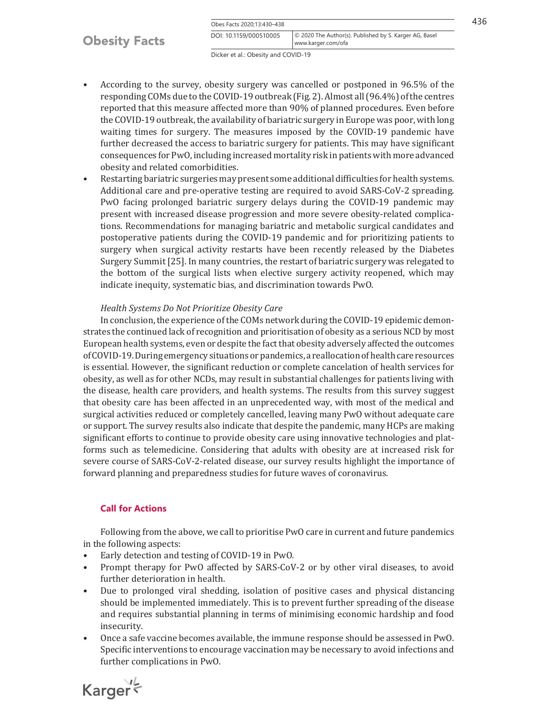Obes Facts 2020;13:430-438 436 www.karger.com/ofa DOI: 10.1159/000510005 © 2020 The Author(s). Published by S. Karger AG, Basel

Dicker et al.: Obesity and COVID-19

- According to the survey, obesity surgery was cancelled or postponed in 96.5% of the responding COMs due to the COVID-19 outbreak (Fig. 2). Almost all (96.4%) of the centres reported that this measure affected more than 90% of planned procedures. Even before the COVID-19 outbreak, the availability of bariatric surgery in Europe was poor, with long waiting times for surgery. The measures imposed by the COVID-19 pandemic have further decreased the access to bariatric surgery for patients. This may have significant consequences for PwO, including increased mortality risk in patients with more advanced obesity and related comorbidities.
- Restarting bariatric surgeries may present some additional difficulties for health systems. Additional care and pre-operative testing are required to avoid SARS-CoV-2 spreading. PwO facing prolonged bariatric surgery delays during the COVID-19 pandemic may present with increased disease progression and more severe obesity-related complications. Recommendations for managing bariatric and metabolic surgical candidates and postoperative patients during the COVID-19 pandemic and for prioritizing patients to surgery when surgical activity restarts have been recently released by the Diabetes Surgery Summit [\[2](#page-7-1)[5\]](#page-8-0). In many countries, the restart of bariatric surgery was relegated to the bottom of the surgical lists when elective surgery activity reopened, which may indicate inequity, systematic bias, and discrimination towards PwO.

### *Health Systems Do Not Prioritize Obesity Care*

In conclusion, the experience of the COMs network during the COVID-19 epidemic demonstrates the continued lack of recognition and prioritisation of obesity as a serious NCD by most European health systems, even or despite the fact that obesity adversely affected the outcomes of COVID-19. During emergency situations or pandemics, a reallocation of health care resources is essential. However, the significant reduction or complete cancelation of health services for obesity, as well as for other NCDs, may result in substantial challenges for patients living with the disease, health care providers, and health systems. The results from this survey suggest that obesity care has been affected in an unprecedented way, with most of the medical and surgical activities reduced or completely cancelled, leaving many PwO without adequate care or support. The survey results also indicate that despite the pandemic, many HCPs are making significant efforts to continue to provide obesity care using innovative technologies and platforms such as telemedicine. Considering that adults with obesity are at increased risk for severe course of SARS-CoV-2-related disease, our survey results highlight the importance of forward planning and preparedness studies for future waves of coronavirus.

## **Call for Actions**

Following from the above, we call to prioritise PwO care in current and future pandemics in the following aspects:

- Early detection and testing of COVID-19 in PwO.<br>• Prompt therapy for PwO affected by SARS-CoV
- Prompt therapy for PwO affected by SARS-CoV-2 or by other viral diseases, to avoid further deterioration in health.
- Due to prolonged viral shedding, isolation of positive cases and physical distancing should be implemented immediately. This is to prevent further spreading of the disease and requires substantial planning in terms of minimising economic hardship and food insecurity.
- Once a safe vaccine becomes available, the immune response should be assessed in PwO. Specific interventions to encourage vaccination may be necessary to avoid infections and further complications in PwO.

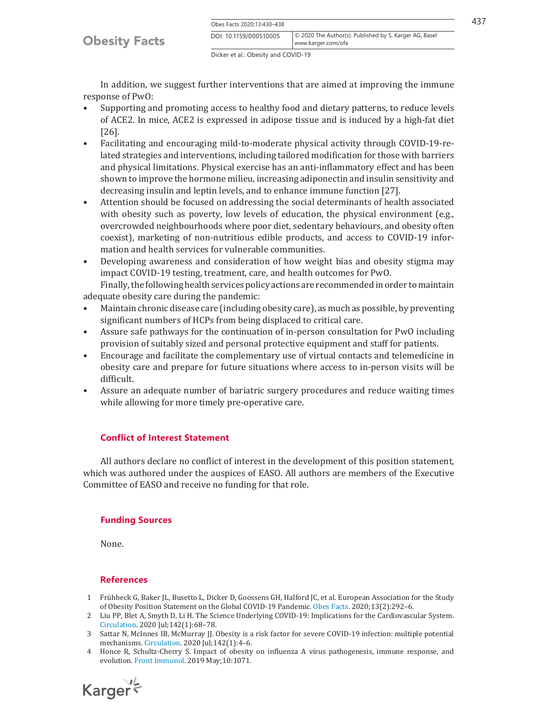Obes Facts 2020;13:430–438 437 www.karger.com/ofa DOI: 10.1159/000510005 © 2020 The Author(s). Published by S. Karger AG, Basel

Dicker et al.: Obesity and COVID-19

In addition, we suggest further interventions that are aimed at improving the immune response of PwO:

- Supporting and promoting access to healthy food and dietary patterns, to reduce levels of ACE2. In mice, ACE2 is expressed in adipose tissue and is induced by a high-fat diet [[2](#page-7-1)[6\]](#page-8-1).
- Facilitating and encouraging mild-to-moderate physical activity through COVID-19-related strategies and interventions, including tailored modification for those with barriers and physical limitations. Physical exercise has an anti-inflammatory effect and has been shown to improve the hormone milieu, increasing adiponectin and insulin sensitivity and decreasing insulin and leptin levels, and to enhance immune function [\[2](#page-7-1)[7\]](#page-8-2).
- Attention should be focused on addressing the social determinants of health associated with obesity such as poverty, low levels of education, the physical environment (e.g., overcrowded neighbourhoods where poor diet, sedentary behaviours, and obesity often coexist), marketing of non-nutritious edible products, and access to COVID-19 information and health services for vulnerable communities.
- Developing awareness and consideration of how weight bias and obesity stigma may impact COVID-19 testing, treatment, care, and health outcomes for PwO.

Finally, the following health services policy actions are recommended in order to maintain adequate obesity care during the pandemic:<br>• Maintain chronic disease care (including

- Maintain chronic disease care (including obesity care), as much as possible, by preventing significant numbers of HCPs from being displaced to critical care.
- Assure safe pathways for the continuation of in-person consultation for PwO including provision of suitably sized and personal protective equipment and staff for patients.
- Encourage and facilitate the complementary use of virtual contacts and telemedicine in obesity care and prepare for future situations where access to in-person visits will be difficult.
- Assure an adequate number of bariatric surgery procedures and reduce waiting times while allowing for more timely pre-operative care.

#### **Conflict of Interest Statement**

All authors declare no conflict of interest in the development of this position statement, which was authored under the auspices of EASO. All authors are members of the Executive Committee of EASO and receive no funding for that role.

#### **Funding Sources**

None.

#### **References**

- <span id="page-7-0"></span>[1](#page-1-0) Frühbeck G, Baker JL, Busetto L, Dicker D, Goossens GH, Halford JC, et al. European Association for the Study of Obesity Position Statement on the Global COVID-19 Pandemic. [Obes Facts.](https://www.karger.com/Article/FullText/510005?ref=1#ref1) 2020;13(2):292–6.
- <span id="page-7-1"></span>[2](#page-1-1) Liu PP, Blet A, Smyth D, Li H. The Science Underlying COVID-19: Implications for the Cardiovascular System. [Circulation](https://www.karger.com/Article/FullText/510005?ref=2#ref2). 2020 Jul;142(1):68–78.
- <span id="page-7-2"></span>[3](#page-1-1) Sattar N, McInnes IB, McMurray JJ. Obesity is a risk factor for severe COVID-19 infection: multiple potential mechanisms. [Circulation](https://www.karger.com/Article/FullText/510005?ref=3#ref3). 2020 Jul;142(1):4–6.
- <span id="page-7-3"></span>[4](#page-1-2) Honce R, Schultz-Cherry S. Impact of obesity on influenza A virus pathogenesis, immune response, and evolution. [Front Immunol](https://www.karger.com/Article/FullText/510005?ref=4#ref4). 2019 May;10:1071.